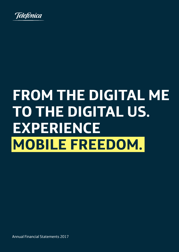

### **FROM THE DIGITAL ME TO THE DIGITAL US. EXPERIENCE MOBILE FREEDOM.**

Annual Financial Statements 2017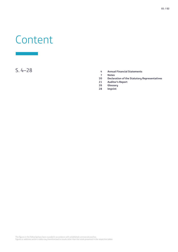# Conte Content

- S. 4–28 **4 Annual Financial Statements**
	- **7 Notes**
	- **20 Declaration of the Statutory Representatives**
	- **21 Auditor's Report**
	- **26 Glossary**
	- **28 Imprint**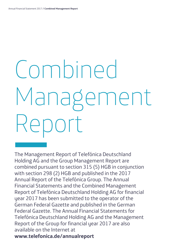# Combined Management Manus<br>Reports of the Management Report

The Management Report of Telefónica Deutschland Holding AG and the Group Management Report are combined pursuant to section 315 (5) HGB in conjunction with section 298 (2) HGB and published in the 2017 Annual Report of the Telefónica Group. The Annual Financial Statements and the Combined Management Report of Telefónica Deutschland Holding AG for financial year 2017 has been submitted to the operator of the German Federal Gazette and published in the German Federal Gazette. The Annual Financial Statements for Telefónica Deutschland Holding AG and the Management Report of the Group for financial year 2017 are also available on the Internet at **www.telefonica.de/annualreport**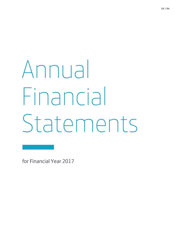# Annual Financial Find<br>Star<br>for Financial Ye Statements

for Financial Year 2017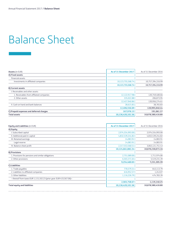# Annual Financial Statem<br>Balar Balance Sheet

| <b>Assets (in EUR)</b>                   | As of 31 December 2017 | As of 31 December 2016 |
|------------------------------------------|------------------------|------------------------|
| A) Fixed assets                          |                        |                        |
| Financial assets                         |                        |                        |
| Investments in affiliated companies      | 10,123,755,568.74      | 10,757,394,316.99      |
|                                          | 10,123,755,568.74      | 10,757,394,316.99      |
| <b>B) Current assets</b>                 |                        |                        |
| . Receivables and other assets           |                        |                        |
| 1. Receivables from affiliated companies | 12,122,917.98          | 120,749,400.66         |
| 2. Other assets                          | 335,022.88             | 206,873.95             |
|                                          | 12,457,940.86          | 120,956,274.61         |
| II. Cash on hand and bank balances       | 38,615.83              | 38,765.83              |
|                                          | 12,496,556.69          | 120,995,040.44         |
| C) Prepaid expenses and deferred charges | 167,976.13             | 191,061.37             |
| <b>Total assets</b>                      | 10,136,420,101.56      | 10,878,580,418.80      |

| <b>Equity and Liabilities (in EUR)</b>                              | As of 31 December 2017 | As of 31 December 2016 |
|---------------------------------------------------------------------|------------------------|------------------------|
| A) Equity                                                           |                        |                        |
| I. Subscribed capital                                               | 2,974,554,993.00       | 2,974,554,993.00       |
| II. Additional paid-in capital                                      | 4,832,539,244.82       | 4,832,539,244.82       |
| III. Retained earnings                                              | 14,083.91              | 14,083.91              |
| Legal reserve                                                       | 14,083.91              | 14,083.91              |
| IV. Balance sheet profit                                            | 2,317,553,560.51       | 3,063,121,751.43       |
|                                                                     | 10,124,661,882.24      | 10,870,230,073.16      |
| <b>B) Provisions</b>                                                |                        |                        |
| 1. Provisions for pensions and similar obligations                  | 2,751,089.00           | 1,711,974.00           |
| 2. Other provisions                                                 | 6,503,371.65           | 5,519,231.39           |
|                                                                     | 9,254,460.65           | 7,231,205.39           |
| C) Liabilities                                                      |                        |                        |
| 1. Trade payables                                                   | 770,579.31             | 643,113.79             |
| 2. Liabilities to affiliated companies                              | 616,952.57             | 1,243.07               |
| 3. Other liabilities                                                | 1,116,226.79           | 474,783.39             |
| - thereof from taxes EUR 1,115,102.23 (prior year: EUR 433,567.06)- |                        |                        |
|                                                                     | 2,503,758.67           | 1,119,140.25           |
| <b>Total equity and liabilities</b>                                 | 10,136,420,101.56      | 10,878,580,418.80      |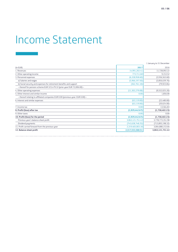# \_ Income Statement

|                                                                                 |                    | 1 January to 31 December |
|---------------------------------------------------------------------------------|--------------------|--------------------------|
| (in EUR)                                                                        | 2017               | 2016                     |
| 1. Revenues                                                                     | 14,991,202.41      | 11,728,092.22            |
| 2. Other operating income                                                       | 773,711.60         | 9,153.52                 |
| 3. Personnel expenses                                                           | (6,328,958.60)     | (3,936,563.60)           |
| a) Salaries and wages                                                           | (5,966,197.50)     | (3,856,639.76)           |
| b) Social security and expenses for retirement benefits and support             | (362, 761.10)      | (79, 923.84)             |
| - thereof for pension scheme EUR 323,479.32 (prior year EUR 72,006.00) -        |                    |                          |
| 4. Other operating expenses                                                     | (11,302,279.08)    | (9,552,025.20)           |
| 5. Other interest and similar income                                            | 0.00               | 1,856.00                 |
| - thereof relating to affiliated companies EUR 0.00 (previous year: EUR 0.00) - |                    |                          |
| 6. Interest and similar expenses                                                | (63, 119.00)       | (22,480.00)              |
|                                                                                 | (63, 119.00)       | (20,624.00)              |
| 7. Income tax                                                                   | 0.00               | 13,564.83                |
| 8. Profit/(loss) after tax                                                      | (1,929,442.67)     | (1,758,402.23)           |
| 9. Other taxes                                                                  | 0.00               | 0.00                     |
| 10. Profit/(loss) for the period                                                | (1,929,442.67)     | (1,758,402.23)           |
| Previous year's balance sheet profit                                            | 3,063,121,751.43   | 3,778,773,351.98         |
| Dividend payments                                                               | (743, 638, 748.25) | (713,893,198.32)         |
| 11. Profit carried forward from the previous year                               | 2,319,483,003.18   | 3,064,880,153.66         |
| 12. Balance sheet profit                                                        | 2,317,553,560.51   | 3,063,121,751.43         |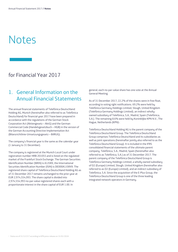# Notes Note:

### for Financial Year 2017

### 1. General Information on the Annual Financial Statements

The annual financial statements of Telefónica Deutschland Holding AG, Munich (hereinafter also referred to as Telefónica Deutschland) for financial year 2017 have been prepared in accordance with the regulations of the German Stock Corporation Act (Aktiengesetz – AktG) and the German Commercial Code (Handelsgesetzbuch – HGB) in the version of the German Accounting Directive Implementation Act (Bilanzrichtlinie-Umsetzungsgesetz – BilRUG).

The company's financial year is the same as the calendar year (1 January to 31 December).

The company is registered at the Munich Local Court under registration number HRB 201055 and is listed on the regulated market of the Frankfurt Stock Exchange. The German Securities Identification Number (WKN) is A1J5RX, the International Securities Identification Number (ISIN) is DE000A1J5RX9. The registered share capital of Telefónica Deutschland Holding AG as of 31 December 2017 remains unchanged to the prior year at EUR 2,974,554,993. The share capital is divided into 2,974,554,993 no-par-value registered shares each with a proportionate interest in the share capital of EUR 1.00. In

general, each no-par-value share has one vote at the Annual General Meeting.

As of 31 December 2017, 22.2% of the shares were in free float, according to voting right notifications. 69.2% were held by Telefónica Germany Holdings Limited, Slough, United Kingdom (Telefónica Germany Holdings Limited), an indirect whollyowned subsidiary of Telefónica, S.A., Madrid, Spain (Telefónica, S.A.). The remaining 8.6% were held by Koninklijke KPN N.V., The Hague, Netherlands (KPN)<sup>1</sup>.

Telefónica Deutschland Holding AG is the parent company of the Telefónica Deutschland Group. The Telefónica Deutschland Group comprises Telefónica Deutschland and its subsidiaries as well as joint operations (hereinafter jointly also referred to as the Telefónica Deutschland Group). It is included in the IFRS consolidated financial statements of the ultimate parent company, Telefónica, S.A., Madrid, Spain (hereinafter also referred to as Telefónica, S.A.) as of 31 December 2017. The parent company of the Telefónica Deutschland Group is Telefónica Germany Holdings Limited, a wholly owned subsidiary of O2 (Europe) Limited, Slough, United Kingdom (hereinafter also referred to as O2 (Europe) Limited), and an indirect subsidiary of Telefónica, S.A. Since the acquisition of the E-Plus Group, the Telefónica Deutschland Group is one of the three leading integrated network operators in Germany.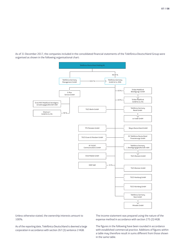As of 31 December 2017, the companies included in the consolidated financial statements of the Telefónica Deutschland Group were organised as shown in the following organisational chart:



Unless otherwise stated, the ownership interests amount to 100%.

As of the reporting date, Telefónica Deutschland is deemed a large corporation in accordance with section 267 (3) sentence 2 HGB.

The income statement was prepared using the nature of the expense method in accordance with section 275 (2) HGB.

The figures in the following have been rounded in accordance with established commercial practice. Additions of figures within a table may therefore result in sums different from those shown in the same table.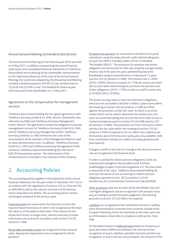#### Annual General Meeting and dividend distribution

The Annual General Meeting for the financial year 2016 was held on 9 May 2017. In addition to presenting the annual financial statements and consolidated financial statements of Telefónica Deutschland and re-electing all the shareholder representatives on the Supervisory Board as of the start of the Annual General Meeting, the resolutions adopted by the Annual General Meeting included a dividend payment of EUR 0.25 per entitled share or 743,638,748.25 EUR in total. The dividend for financial year 2016 was paid to the shareholders on 12 May 2017.

#### Agreement on the compensation for management services

Telefónica Deutschland Holding AG has signed agreements with Telefónica Germany GmbH & Co. OHG, Munich, (hereinafter also referred to as OHG) and Telefónica Germany Management GmbH, Munich. The agreements include the obligation to provide management services for Telefónica Germany GmbH & Co. OHG and for Telefónica Germany Management GmbH. Telefónica Germany GmbH & Co. OHG reimburses the costs of the remuneration of the members of the Management Board as well as other administrative costs. In addition, Telefónica Germany GmbH & Co. OHG and Telefónica Germany Management GmbH reimburse Telefónica Deutschland Holding AG a flat fee of EUR 30 thousand per quarter. The total amount of the reimbursements is included in the revenues of the company.

### 2. Accounting Policies

The accounting policies applied in the preparation of the annual financial statements for the year ended 31 December 2017 are in accordance with the regulations of sections 242 to 256a and 264 to 288 HGB as well as the relevant provisions of the German Stock Corporation Act (AktG). The accounting policies remain unchanged compared to the previous year.

Financial assets are measured at the historical cost less the required impairment losses in order to be recognised at the lower fair value as of the balance sheet date. If the reasons for the impairment losses no longer exist, relevant reversals of impairment losses are reversed in accordance with section 253 (5) sentence 1 HGB.

Receivables and other assets are recognised at their nominal value. Appropriate impairments were recognised for all risk positions.

Provisions for pensions are measured on the basis of actuarial calculations using the projected unit credit method taking into account the 2005 G mortality tables of Prof. Dr Heubeck, "Richttafeln 2005 G". The provisions for pensions and similar obligations are discounted at a flat rate using the average market interest rate of the past ten years published by Deutsche Bundesbank using an assumed term to maturity of 15 years (section 253 (2) sentence 2 HGB). This interest rate is 3.68% (2016: 4.00%). Pension increases of 1.75% per annum are taken into account when determining the provisions for pensions and similar obligations (2016: 1.75%) as well as a staff turnover rate of 20.00% (2016: 20.00%).

The assets serving solely to meet the retirement obligations, which are not accessible to all other creditors, (plan assets within the meaning of section 246 (2) sentence 2 H2B) are offset against the provisions at their fair value. As there is no active market which can be used to determine the market price, the costs are amortised taking into account the strict lower of cost or market principle pursuant to section 253 (4) HGB (section 255 (4) sentence 3 HGB). The amortised cost from reinsurance claims and thus the fair value within the meaning of section 255 (4) sentence 4 HGB correspond to the so-called cover capital as per the business plan of the insurance policy plus any available credit from contribution refunds (so-called irrevocably granted profit participation).

Changes in profit or loss due to a change in the discount interest rate are recognised in the financial result.

In order to satisfy the indirect pension obligations, funds are invested and managed in the provident fund, ProFund Unabhängige Gruppen-Unterstützungskasse e.V. This plan asset is measured at fair value. Telefónica Deutschland Holding AG exercises the option of not accounting for indirect pension obligations granted it in Art. 28 (1) sentence 2 of the Introductory Act to the German Commercial Code (EGHGB).

Other provisions take into account all the identifiable risks and contingent obligations and are recognised in the amount necessary according to prudent business judgement. Discounting pursuant to section 253 (2) HGB is not required.

Liabilities are recognised at their settlement amounts. Liability items denominated in currencies from countries outside of the European Monetary Union are translated at the mean spot rate as of the balance sheet date in compliance with section 256a HGB.

For the determination of deferred taxes based on temporary or quasi-permanent differences between the commercial law recognition of assets, liabilities and deferred items and their tax recognition, or due to tax loss carry forwards, the amounts of the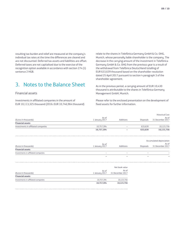resulting tax burden and relief are measured at the company's individual tax rates at the time the differences are cleared and are not discounted. Deferred tax assets and liabilities are offset. Deferred taxes are not capitalised due to the exercise of the recognition option available in accordance with section 274 (1) sentence 2 HGB.

### 3. Notes to the Balance Sheet

#### Financial assets

Investments in affiliated companies in the amount of EUR 10,113,325 thousand (2016: EUR 10,746,964 thousand) relate to the shares in Telefónica Germany GmbH & Co. OHG, Munich, whose personally liable shareholder is the company. The decrease in the carrying amount of the investment in Telefónica Germany GmbH & Co. OHG from the previous year is a result of the withdrawal from Telefónica Deutschland totalling of EUR 633,639 thousand based on the shareholder resolution dated 25 April 2017 pursuant to section 4 paragraph 3 of the shareholder agreement.

As in the previous period, a carrying amount of EUR 10,430 thousand is attributable to the shares in Telefónica Germany Management GmbH, Munich.

Please refer to the enclosed presentation on the development of fixed assets for further information.

| (Euros in thousands)                | As of<br>1 January 2017 | Additions | <b>Disposals</b> | As of<br>31 December 2017 |
|-------------------------------------|-------------------------|-----------|------------------|---------------------------|
| <b>Financial assets</b>             |                         |           |                  |                           |
| Investments in affiliated companies | 10.757.394              | -         | 633.639          | 10,123,756                |
|                                     | 10,757,394              | -         | 633.639          | 10,123,756                |

|                                     |                         |                          |           | Accumulated depreciation  |
|-------------------------------------|-------------------------|--------------------------|-----------|---------------------------|
| (Euros in thousands)                | As of<br>1 January 2017 | Additions                | Disposals | As of<br>31 December 2017 |
| <b>Financial assets</b>             |                         |                          |           |                           |
| Investments in affiliated companies |                         | $\overline{\phantom{a}}$ | $\sim$    | $\overline{\phantom{a}}$  |
|                                     |                         | $\overline{\phantom{a}}$ | ۰         |                           |

|                                     |                         | Net book value            |
|-------------------------------------|-------------------------|---------------------------|
| (Euros in thousands)                | As of<br>1 January 2017 | As of<br>31 December 2017 |
| <b>Financial assets</b>             |                         |                           |
| Investments in affiliated companies | 10.757.394              | 10,123,756                |
|                                     | 10,757,394              | 10,123,756                |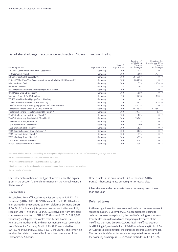#### List of shareholdings in accordance with section 285 no. 11 and no. 11a HGB

| Name, legal form                                                                    | Registered office | Share of<br>Capital in % | Equity as of<br>31/12/2016<br>(Euros in<br>thousands) <sup>(4)</sup> | Results of the<br>financial year 2016<br>(Euros in<br>thousands) <sup>(4)</sup> |
|-------------------------------------------------------------------------------------|-------------------|--------------------------|----------------------------------------------------------------------|---------------------------------------------------------------------------------|
| AY YILDIZ Communications GmbH, Düsseldorf <sup>(3)</sup>                            | Germany           | 100                      | 5,025                                                                | $0 *$                                                                           |
| co-trade GmbH. Munich                                                               | Germany           | 100                      | 5.098                                                                | $1,411 -$                                                                       |
| E-Plus Service GmbH. Düsseldorf <sup>(3)</sup>                                      | Germanu           | 100                      | 1,944,187                                                            | $0 *$                                                                           |
| Erste MVV Mobilfunk Vermögensverwaltungsgesellschaft mbH, Düsseldorf <sup>(3)</sup> | Germanu           | 100                      | 283,670                                                              | $0 *$                                                                           |
| Minodes GmbH, Berlin                                                                | Germanu           | 100                      | 1,335                                                                | $-1,678 -$                                                                      |
| MNP GbR. Düsseldorf                                                                 | Germanu           | 33                       | 102                                                                  | $-33 -$                                                                         |
| 02 Telefónica Deutschland Finanzierungs GmbH, Munich                                | Germanu           | 100                      | 25                                                                   | $0 *$                                                                           |
| Ortel Mobile GmbH. Düsseldorf <sup>(3)</sup>                                        | Germanu           | 100                      | 5,050                                                                | $0 *$                                                                           |
| Shortcut I GmbH & Co. KG, Hamburg                                                   | Germanu           | 90                       | 19,238                                                               | $-840 -$                                                                        |
| TCHIBO Mobilfunk Beteiligungs-GmbH, Hamburg                                         | Germany           | 50                       | 41                                                                   | $1 -$                                                                           |
| TCHIBO Mobilfunk GmbH & Co. KG, Hamburg                                             | Germanu           | 50                       | 8,832                                                                | $928 -$                                                                         |
| Telefónica Germany 1. Beteiligungsgesellschaft mbH, Munich <sup>(3)</sup>           | Germanu           | 100                      | 85,778                                                               | $0 *$                                                                           |
| Telefónica Germany GmbH & Co. OHG, Munich (1)(2)                                    | Germanu           | 100                      | 8,072,938                                                            | $422,507 -$                                                                     |
| Telefónica Germany Management GmbH, Munich <sup>(3)</sup>                           | Germanu           | 100                      | 10,714                                                               | $53 -$                                                                          |
| Telefónica Germany Next GmbH, Munich <sup>(3)</sup>                                 | Germanu           | 100                      | 1,025                                                                | $0 *$                                                                           |
| Telefónica Germany Retail GmbH, Düsseldorf <sup>(3)</sup>                           | Germanu           | 100                      | 78,202                                                               | $0 *$                                                                           |
| TFS Potsdam GmbH. Potsdam <sup>(3)</sup>                                            | Germanu           | 100                      | 25                                                                   | $0 *$                                                                           |
| TGCS Berlin GmbH, Düsseldorf <sup>(3)</sup>                                         | Germanu           | 100                      | 1,100                                                                | $0 *$                                                                           |
| TGCS Bremen GmbH, Munich <sup>(3)</sup>                                             | Germanu           | 100                      | 1,525                                                                | $0 *$                                                                           |
| TGCS Essen & Potsdam GmbH. Potsdam <sup>(3)</sup>                                   | Germanu           | 100                      | 3,025                                                                | $0 *$                                                                           |
| TGCS Hamburg GmbH, Munich(3)                                                        | Germany           | 100                      | 1,775                                                                | $0 *$                                                                           |
| TGCS Nürnberg GmbH, Munich(3)                                                       | Germany           | 100                      | 3,775                                                                | $0 *$                                                                           |
| TGCS Rostock GmbH. Munich <sup>(3)</sup>                                            | Germany           | 100                      | 15,342                                                               | $0 *$                                                                           |
| Wayra Deutschland GmbH, Munich <sup>(3)</sup>                                       | Germanu           | 100                      | 2,393                                                                | $0 *$                                                                           |

1) 99.99% Telefónica Deutschland Holding AG, as the personally liable shareholder; 0.01% Telefonica Germany Management GmbH

2) Utilisation of the exemption pursuant to section 264 b HGB

3) Utilisation of the exemption pursuant to section 264 (3) HGB

4) Equity and result of the last financial year for which annual financial statements are available

\*) After transfer of profit/loss

For further information on the type of interests, see the organigram in the section "General information on the Annual Financial Statements".

#### Receivables

Receivables from affiliated companies amount to EUR 12,123 thousand (2016: EUR 120,749 thousand). The EUR 110 million loan granted in the previous year to Telefónica Germany GmbH & Co. OHG for financing its general business activities was fully repaid in 2017. In financial year 2017, receivables from affiliated companies amounted to EUR 4,155 thousand (2016: EUR 7,408 thousand), cash pool receivables from Telfisa Global B.V., Amsterdam, Netherlands and management services receivables from Telefónica Germany GmbH & Co. OHG amounted to EUR 6,778 thousand (2016: EUR 3,270 thousand). The remaining receivables relate to receivables from other companies of the Telefónica, S.A. Group.

Other assets in the amount of EUR 335 thousand (2016: EUR 207 thousand) relate primarily to tax receivables.

All receivables and other assets have a remaining term of less than one year.

#### Deferred taxes

As the recognition option was exercised, deferred tax assets are not recognised as of 31 December 2017. Circumstances leading to deferred tax assets are primarily the result of existing corporate and trade tax loss carry forwards and temporary differences at the Telefónica Germany GmbH & Co. OHG level. Telefónica Deutschland Holding AG, as shareholder of Telefónica Germany GmbH & Co. OHG, is the taxable entity for the purposes of corporate income tax. The tax rate for deferred tax assets for corporate income tax and the solidarity surcharge is 15.825% and for trade tax it is 17.15%.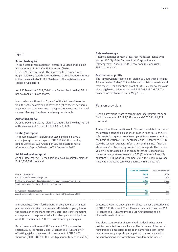#### **Equity**

#### **Subscribed capital**

The registered share capital of Telefónica Deutschland Holding AG amounts to EUR 2,974,555 thousand (2016: EUR 2,974,555 thousand). The share capital is divided into no-par-value registered shares each with a proportionate interest in the share capital of EUR 1.00 (shares). The registered share capital is fully paid in.

As of 31 December 2017, Telefónica Deutschland Holding AG did not hold any of its own shares.

In accordance with section 6 para. 2 of the Articles of Association, the shareholders do not have the right to securitise shares. In general, each no-par-value share grants one vote at the Annual General Meeting. The shares are freely transferable.

#### **Authorised capital**

As of 31 December 2017, Telefónica Deutschland Holding AG had authorised capital 2016/I of EUR 1,487,277,496.

#### **Contingent capital**

The share capital of Telefónica Deutschland Holding AG is contingently increased by up to EUR 558,473 thousand by issuing up to 558,472,700 no-par-value registered shares (Contingent Capital 2014/I) as of 31 December 2017.

#### **Additional paid-in capital**

As of 31 December 2017 the additional paid-in capital remains at EUR 4,832,539 thousand.

#### **Retained earnings**

Retained earnings contain a legal reserve in accordance with section 150 (2) of the German Stock Corporation Act (Aktiengesetz – AktG) of EUR 14 thousand (previous year: EUR 14 thousand).

#### **Distribution of profits**

The Annual General Meeting of Telefónica Deutschland Holding AG was held on 9 May 2017 and decided to distribute a dividend from the 2016 balance sheet profit of EUR 0.25 per no-par-value share eligible for dividends, in total EUR 743,638,748,25. The dividend was distributed on 12 May 2017.

#### Pension provisions

Pension provisions relate to commitments for retirement benefits in the amount of EUR 2,751 thousand (2016: EUR 1,712 thousand).

As a result of the acquisition of E-Plus and the related transfer of the acquired pension obligations at cost, in financial year 2014, this results in surplus coverage compared to a measurement on the basis of section 253 (1) sentence 2 and (2) sentence 2 HGB (see the section "I. General information on the annual financial statements" – "Accounting policies" in this regard). The transfer value will be retained up to an amount that corresponds to a measurement pursuant to section 253 (1) sentence 2 and (2) sentence 2 HGB. As of 31 December 2017, the surplus coverage is EUR 539 thousand (previous year: EUR 393 thousand).

|                                                                           | As of 31 December | As of 31 December |
|---------------------------------------------------------------------------|-------------------|-------------------|
| (Euros in thousands)                                                      | 2017              | 2016              |
| Cost of acquired pension obligations                                      | 2,625             | 2.625             |
| Settlement amount of offset liabilities in accordance with commercial law | 2.086             | 2.232             |
| Surplus coverage of cost over the settlement amount                       | 539               | 393               |
|                                                                           |                   |                   |
| Fair value of offset plan assets                                          | 936               | 913               |
| Amortised cost of plan assets pursuant to section 255 (4) sentence 4 HGB  | 936               | 913               |

In financial year 2017, further pension obligations with related plan assets were taken over from an affiliated company due to the expansion of the Management Board. The transfer amount corresponds to the present value for offset pension obligations as of 31 December 2017; there is consequently no surplus.

Based on a valuation as of 31 December 2017 pursuant to section 253 (1) sentence 2 and (2) sentence 2 HGB and after offsetting against plan assets in the amount of EUR 1,403 thousand (2016: EUR 913 thousand) pursuant to section 246 (2) sentence 2 HGB the offset pension obligation has a present value of EUR 2,211 thousand. The difference pursuant to section 253 (6) sentence 1 HGB amounts to EUR 720 thousand and is blocked from distribution.

The plan assets consist of earmarked, pledged reinsurance policies protected from insolvency. The fair value of the netted reinsurance claims corresponds to the amortised cost (cover capital reserves plus profit participation) in accordance with actuarial opinions or information received from the insurer.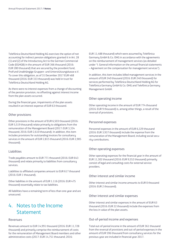Telefónica Deutschland Holding AG exercises the option of not accounting for indirect pension obligations granted it in Art. 28 (1) and (2) of the Introductory Act to the German Commercial Code (EGHGB) in the amount of EUR 366 thousand (2016: EUR 280 thousand) that are secured by the provident fund, ProFund Unabhängige Gruppen- und Unterstützungskasse e.V. To cover this obligation, as of 31 December 2017 EUR 468 thousand (2016: EUR 333 thousand) was held in trust for Telefónica Deutschland Holding AG.

As there were no interest expenses from a change of discounting of the pension provision, no offsetting against interest income from the plan assets occurred.

During the financial year, impairments of the plan assets resulted in an interest expense of EUR 63 thousand.

#### Other provisions

Other provisions in the amount of EUR 6,503 thousand (2016: EUR 5,519 thousand) relate primarily to obligations from the remuneration of the Management Board (2017: EUR 3,334 thousand; 2016: EUR 2,610 thousand). In addition, this item includes provisions for outstanding invoices for consultancy services in the amount of EUR 2,815 thousand (2016: EUR 2,905 thousand).

#### Liabilities

Trade payables amount to EUR 771 thousand (2016: EUR 643 thousand) and relate primarily to liabilities from consultancy services.

Liabilities to affiliated companies amount to EUR 617 thousand (2016: EUR 1 thousand).

Other liabilities in the amount of EUR 1.116 (2016: EUR 475 thousand) essentially relate to tax liabilities.

All liabilities have a remaining term of less than one year and are unsecured.

### 4. Notes to the Income **Statement**

#### Revenues

Revenues amount to EUR 14,991 thousand (2016: EUR 11,728 thousand) and primarily comprise the reimbursement of costs for the remuneration of Management Board members and other administrative costs (2017: EUR 14,751 thousand; 2016:

EUR 11,488 thousand) which were assumed by Telefónica Germany GmbH & Co. OHG in accordance with the agreements on the reimbursement of management services (as detailed under "I. General information on the annual financial statements – Agreement on the compensation for management services").

In addition, this item includes billed management services in the amount of EUR 240 thousand (2016: EUR 240 thousand) for services performed by Telefónica Deutschland Holding AG for Telefónica Germany GmbH & Co. OHG and Telefónica Germany Management GmbH.

#### Other operating income

Other operating income in the amount of EUR 774 thousand (2016: EUR 9 thousand) is, among other things, a result of the reversal of provisions.

#### Personnel expenses

Personnel expenses in the amount of EUR 6,329 thousand (2016: EUR 3,937 thousand) include the expense from the remuneration of the Management Board, including social security contributions.

#### Other operating expenses

Other operating expenses for the financial year in the amount of EUR 11,302 thousand (2016: EUR 9,552 thousand) primarily consist of legal and consulting costs for external service providers.

#### Other interest and similar income

Other interest and similar income amounts to EUR 0 thousand (2016: EUR 2 thousand).

#### Other interest and similar expenses

Other interest and similar expenses in the amount of EUR 63 thousand (2016: EUR 22 thousand) include the expenses from the loss in value of the plan assets.

#### Out-of-period income and expenses

Total out-of-period income in the amount of EUR 361 thousand from the reversal of provisions and out-of-period expenses in the amount of EUR 596 thousand from consultancy services for the previous year are included in financial year 2017.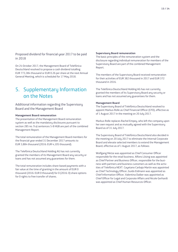Proposed dividend for financial year 2017 to be paid in 2018

On 24 October 2017, the Management Board of Telefónica Deutschland resolved to propose a cash dividend totalling EUR 773,384 thousand or EUR 0.26 per share at the next Annual General Meeting, which is scheduled for 17 May 2018.

### 5. Supplementary Information on the Notes

Additional information regarding the Supervisory Board and the Management Board

#### **Management Board remuneration**

The presentation of the Management Board remuneration system as well as the mandatory disclosures pursuant to section 285 no. 9 a) sentences 5-8 HGB are part of the combined Management Report.

The total remuneration of the Management Board members for the financial year ended 31 December 2017 amounts to EUR 3,884 thousand (2016: EUR 4,105 thousand).

The Telefónica Deutschland Holding AG has not currently granted the members of its Management Board any security or loans and has not assumed any guarantees for them.

The total remuneration includes share-based payments with a fair value at the time of granting in the amount of EUR 0 thousand (2016: EUR 0 thousand) for 0 (2016: 0) share options for 0 rights to free transfer of shares.

#### **Supervisory Board remuneration**

The basic principles of the remuneration system and the disclosure regarding individual remuneration for members of the Supervisory Board are part of the combined Management Report.

The members of the Supervisory Board received remuneration for their activities of EUR 382 thousand in 2017 and EUR 372 thousand in 2016.

The Telefónica Deutschland Holding AG has not currently granted the members of its Supervisory Board any security or loans and has not assumed any guarantees for them.

#### **Management Board**

The Supervisory Board of Telefónica Deutschland resolved to appoint Markus Rolle as Chief Financial Officer (CFO), effective as of 1 August 2017 in the meeting on 20 July 2017.

Markus Rolle replaces Rachel Empey, who left the company upon her own request and as mutually agreed with the Supervisory Board as of 31 July 2017.

The Supervisory Board of Telefónica Deutschland also decided in the meeting on 20 July 2017 to eliminate the Internal Corporate Board and elevate selected members to extend the Management Board, effective as of 1 August 2017, as follows:

Wolfgang Metze was appointed as Chief Consumer Officer responsible for the retail business. Alfons Lösing was appointed as Chief Partner and Business Officer, responsible for the business with partners and business customers as well as the activities of Telefónica NEXT. Cayetano Carbajo Martin was appointed as Chief Technology Officer, Guido Eidmann was appointed as Chief Information Officer, Valentina Daiber was appointed as Chief Officer for Legal and Corporate Affairs and Nicole Gerhardt was appointed as Chief Human Resources Officer.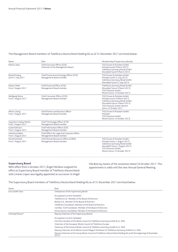#### The Management Board members of Telefónica Deutschland Holding AG as of 31 December 2017 are listed below:

| Name                                          | Role                                                                     | Membership of Supervisory Boards                                                                                                                                                                  |
|-----------------------------------------------|--------------------------------------------------------------------------|---------------------------------------------------------------------------------------------------------------------------------------------------------------------------------------------------|
| Markus Haas                                   | Chief Executive Officer (CEO)<br>Chairman of the Management Board        | TGCS Essen & Potsdam GmbH.<br>Potsdam (until 9 March 2017)<br>Telefónica Germany Retail GmbH,<br>Düsseldorf (until 9 March 2017)                                                                  |
| Rachel Empey<br>Until 31 July 2017            | Chief Financial and Strategy Officer (CFO)<br>Management Board member    | TGCS Essen & Potsdam GmbH.<br>Potsdam (until 21 July 2017)<br>Telefónica Germany Retail GmbH,<br>Düsseldorf (until 21 July 2017)                                                                  |
| Markus Rolle<br>From 1 August 2017            | Chief Financial Officer (CFO)<br>Management Board member                 | Telefónica Germany Retail GmbH,<br>Düsseldorf (since 9 March 2017)<br><b>TGCS Rostock GmbH,</b><br>Munich (since 12 October 2017)                                                                 |
| Wolfgang Metze<br>From 1 August 2017          | Chief Consumer Officer (CCO)<br>Management Board member                  | TGCS Essen & Potsdam GmbH.<br>Potsdam (since 9 March 2017)<br>Telefónica Germany Retail GmbH,<br>Düsseldorf (since 9 March 2017)<br><b>TGCS Rostock GmbH. Munich</b><br>(since 12 October 2017    |
| Alfons Lösing<br>From 1 August 2017           | <b>Chief Partner and Business Officer</b><br>Management Board member     | TGCS Essen & Potsdam GmbH,<br>Potsdam<br><b>TGCS Rostock GmbH.</b><br>Munich (since 12 October 2017)                                                                                              |
| Cayetano Carbajo Martín<br>From 1 August 2017 | Chief Technology Officer (CTO)<br>Management Board member                |                                                                                                                                                                                                   |
| Guido Eidmann<br>From 1 August 2017           | Chief Information Officer (CIO)<br>Management Board member               |                                                                                                                                                                                                   |
| Valentina Daiber<br>From 1 August 2017        | Chief Officer for Legal and Corporate Affairs<br>Management Board member |                                                                                                                                                                                                   |
| Nicole Gerhardt<br>From 1 August 2017         | Chief Human Resources Officer (CHRO)<br>Management Board member          | TGCS Essen & Potsdam GmbH,<br>Potsdam (since 1 August 2017)<br>Telefónica Germany Retail GmbH,<br>Düsseldorf (since 1 August 2017)<br><b>TGCS Rostock GmbH,</b><br>Munich (since 12 October 2017) |

#### **Supervisory Board**

With effect from 4 October 2017, Ángel Vilá Boix resigned his office as Supervisory Board member of Telefónica Deutschland. Julio Linares López was legally appointed as successor to Angel

Vila Boix by means of the resolution dated 16 October 2017. This appointment is valid until the next Annual General Meeting.

The Supervisory Board members of Telefónica Deutschland Holding AG as of 31 December 2017 are listed below:

| Name              | Role                                                                                                                      |
|-------------------|---------------------------------------------------------------------------------------------------------------------------|
| Eva Castillo Sanz | Chairperson of the Supervisory Board                                                                                      |
|                   | Occupation/current mandates:                                                                                              |
|                   | Telefónica S.A., Member of the Board of Directors                                                                         |
|                   | Bankia S.A., Member of the Board of Directors                                                                             |
|                   | Telefónica Foundation, Member of the Board of Directors                                                                   |
|                   | Comillas - ICAI Foundation, Member of the Board of Directors                                                              |
|                   | Entreculturas Foundation, Member of the Board of Directors                                                                |
| Christoph Braun*  | Deputy Chairman of the Supervisory Board                                                                                  |
|                   | Occupation/current mandates:                                                                                              |
|                   | Full-time member of the Works Council of Telefónica Germany GmbH & Co. OHG                                                |
|                   | Chairman of the European Works Council of Telefónica Europe                                                               |
|                   | Chairman of the General Works Council of Telefónica Germany GmbH & Co. OHG                                                |
|                   | Deputy Chairman of the Works Council Region Northeast of Telefónica Germany GmbH & Co. OHG                                |
|                   | Deputy Chairman of the Group Works Council of Telefónica Deutschland Holding AG (until the beginning of November<br>2017) |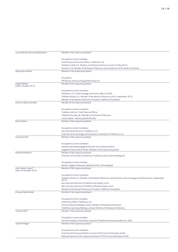| Laura Abasolo García de Baquedano | Member of the Supervisory Board                                                                                                                  |
|-----------------------------------|--------------------------------------------------------------------------------------------------------------------------------------------------|
|                                   |                                                                                                                                                  |
|                                   | Occupation/current mandate:                                                                                                                      |
|                                   | Chief Finance and Control Officer, Telefonica, S.A.                                                                                              |
|                                   | Telefónica Chile S.A., Member of the Board of Directors (until 12 May 2017)                                                                      |
|                                   | Acerinox, S.A. Member of the Board of Directors and Chairperson of the Audit Committee                                                           |
| Sally Anne Ashford                | Member of the Supervisory Board;                                                                                                                 |
|                                   |                                                                                                                                                  |
|                                   | Occupation:                                                                                                                                      |
|                                   | HR Director Parcels at Royal Mail Group Ltd.                                                                                                     |
| Angel Vilá Boix                   | Member of the Supervisory Board                                                                                                                  |
| (until 4 October 2017)            |                                                                                                                                                  |
|                                   |                                                                                                                                                  |
|                                   | Occupation/current mandates:                                                                                                                     |
|                                   | Telefónica, S.A., Chief Strategy and Finance Officer (CSFO)<br>Telefónica Brazil S.A., Member of the Board of Directors (until 4 September 2017) |
|                                   |                                                                                                                                                  |
| Patricia Cobián González          | Member of the Board of Directors (Trustee), Telefónica Foundation                                                                                |
|                                   | Member of the Supervisory Board                                                                                                                  |
|                                   |                                                                                                                                                  |
|                                   | Occupation/current mandates:                                                                                                                     |
|                                   | Telefónica UK Ltd., Chief Financial Officer                                                                                                      |
|                                   | Telefónica Europe, plc, Member of the Board of Directors                                                                                         |
|                                   | Lumia Capital - Advisory Board Member                                                                                                            |
| Peter Erskine                     | Member of the Supervisory Board                                                                                                                  |
|                                   |                                                                                                                                                  |
|                                   | Occupation/current mandates:                                                                                                                     |
|                                   | Non-Executive Director of Telefónica, S.A.                                                                                                       |
|                                   | Chairman of the Strategy and Innovation Committee of Telefónica, S.A.                                                                            |
| Christoph Heil*                   | Member of the Supervisory Board                                                                                                                  |
|                                   |                                                                                                                                                  |
|                                   | Occupation/current mandates:                                                                                                                     |
|                                   | Vereinte Dienstleistungsgewerkschaft ver.di, Representative                                                                                      |
|                                   | Capgemini Deutschland GmbH, Member of the Supervisory Board                                                                                      |
| Michael Hoffmann                  | Member of the Supervisory Board                                                                                                                  |
|                                   | Chairman of the Audit Committee of Telefónica Deutschland Holding AG                                                                             |
|                                   |                                                                                                                                                  |
|                                   | Occupation/current mandate:                                                                                                                      |
|                                   | Master's degree in Business Administration, self-employed                                                                                        |
| Julio Linares López**             | Member of the Supervisory Board                                                                                                                  |
| (since 16 October 2017)           |                                                                                                                                                  |
|                                   | Occupation/current mandates:                                                                                                                     |
|                                   | Telefónica Brasil S.A, Member of the Board of Directors and Chairman of the Strategy Committee (since 4 September                                |
|                                   | 2017)                                                                                                                                            |
|                                   | Non-Executive Director of Telefónica de España, S.A.U.                                                                                           |
|                                   | Non-Executive Director of Telefónica Móviles España, S.A.U.                                                                                      |
|                                   | Member of the Board of Directors (Trustee), Telefónica Foundation                                                                                |
| Enrique Medina Malo               | Member of the Supervisory Board;                                                                                                                 |
|                                   |                                                                                                                                                  |
|                                   | Occupation/current mandate:                                                                                                                      |
|                                   | Chief Policy Officer Telefónica, S.A.                                                                                                            |
|                                   | O2 International Holdings Limited, Member of the Board of Directors                                                                              |
|                                   | Telefónica Germany Holdings Limited, Member of the Board of Directors                                                                            |
| Thomas Pfeil*                     | Member of the Supervisory Board                                                                                                                  |
|                                   |                                                                                                                                                  |
|                                   |                                                                                                                                                  |
|                                   | Occupation/current mandate:                                                                                                                      |
|                                   | Full-time member of the Works Council of Telefónica Germany GmbH & Co. OHG                                                                       |
| Joachim Rieger*                   | Member of the Supervisory Board                                                                                                                  |
|                                   |                                                                                                                                                  |
|                                   | Occupation/current mandates:                                                                                                                     |
|                                   | Chairman of the General Works Council of TGCS Essen & Potsdam GmbH                                                                               |
|                                   | Deputy Chairman of the Supervisory Board of TGCS Essen & Potsdam GmbH                                                                            |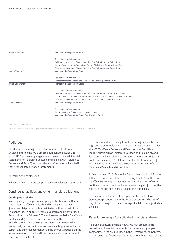| Jürgen Thierfelder*  | Member of the Supervisory Board                                                  |
|----------------------|----------------------------------------------------------------------------------|
|                      |                                                                                  |
|                      | Occupation/current mandates:                                                     |
|                      | Full-time member of the Works Council of Telefónica Germany Retail GmbH          |
|                      | Deputy Chairman of the Supervisory Board of Telefónica Germany Retail GmbH       |
|                      | Chairman of the General Works Council of Telefónica Germany Retail GmbH          |
| Marcus Thurand*      | Member of the Supervisory Board                                                  |
|                      |                                                                                  |
|                      | Occupation/current mandate:                                                      |
|                      | Director of Network Operations at Telefónica Germany GmbH & Co. OHG              |
| Dr. Jan-Erik Walter* | Member of the Supervisory Board                                                  |
|                      |                                                                                  |
|                      | Occupation/current mandate:                                                      |
|                      | Full-time member of the Works Council of Telefónica Germany GmbH & Co. OHG       |
|                      | Deputy Chairman of the Works Council Munich of Telefónica Germany GmbH & Co. OHG |
|                      | Chairman of the Group Works Council of Telefónica Deutschland Holding AG         |
| Claudia Weber*       | Member of the Supervisory Board                                                  |
|                      |                                                                                  |
|                      | Occupation/current mandate:                                                      |
|                      | Deputy Managing Director, ver.di Munich district                                 |
|                      | Member of the Supervisory Board, SWM Services GmbH                               |
|                      |                                                                                  |

\* Employee representative

\*\*New member of the Supervisory Board in accordance a with court order by resolution of 16 October 2017.

#### Audit fees

The disclosure relating to the total audit fees of Telefónica Deutschland Holding AG is omitted pursuant to section 285 no. 17 HGB as the company prepares the consolidated financial statements of Telefónica Deutschland Holding AG ("Telefónica Deutschland Group") and the relevant information is included in these consolidated financial statements.

#### Number of employees

In financial year 2017 the company had no employees – as in 2016.

#### Contingent liabilities and other financial obligations

#### **Contingent liabilities**

In its capacity as the parent company of the Telefónica Deutschland Group, Telefónica Deutschland Holding AG assumes guarantee obligations for its subsidiaries. In the context of the two bonds issued by O2 Telefónica Deutschland Finanzierungs GmbH, Munich in February 2014 and November 2013, Telefónica Deutschland gives each bearer an amount of the two bonds issued in the amount of EUR 500 million and EUR 600 million, respectively, an unconditional and irrevocable guarantee for the correct and punctual payment of all the amounts payable by the issuer in relation to the bond in accordance with the terms and conditions of the bonds.

The risk of any claims arising from the contingent liabilities is regarded as extremely low. This assessment is based on the fact that O2 Telefónica Deutschland Finanzierungs GmbH is an indirect subsidiary of Telefónica Deutschland Holding AG and fully controlled via Telefónica Germany GmbH & Co. OHG. The creditworthiness of O2 Telefónica Deutschland Finanzierungs GmbH is thus determined by the operational business of the Telefónica Deutschland Group itself.

In financial year 2016, Telefónica Deutschland Holding AG issued letters of comfort to Telefónica Germany GmbH & Co. OHG and Telefónica Germany Management GmbH. The letters of comfort continue to be valid and can be terminated by giving six months' notice to the end of a financial year of the companies.

The economic substance of the opportunities and risks are not significantly changed due to the letters of comfort. The risk of any claims arising from these contingent liabilities is regarded as unlikely.

#### Parent company / Consolidated financial statements

Telefónica Deutschland Holding AG, Munich prepares IFRS consolidated financial statements for the smallest group of companies. These are published in the German Federal Gazette. The consolidated financial statements of Telefónica Deutschland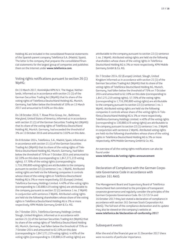Holding AG are included in the consolidated financial statements of the Spanish parent company Telefónica S.A. (Madrid, Spain). The latter is the company that prepares the consolidated financial statements for the largest group of companies and publishes them on the Internet under **www.telefonica.com.**

#### Voting rights notifications pursuant to section 26 (1) WpHG:

On 15 March 2017, Koninklijke KPN N.V, The Hague, Netherlands, informed us in accordance with section 21 (1) of the German Securities Trading Act (WpHG) that its share of the voting rights of Telefónica Deutschland Holding AG, Munich, Germany, had fallen below the threshold of 10% on 13 March 2017 and amounted to 9.46% on this date.

On 18 October 2016, T. Rowe Price Group, Inc., Baltimore, Maryland, United States of America, informed us in accordance with section 21 (1) of the German Securities Trading Act (WpHG) that its share of the voting rights of Telefónica Deutschland Holding AG, Munich, Germany, had exceeded the threshold of 3% on 13 October 2016 and amounted to 3.02% on this date.

On 8 October 2014, Telefónica, S.A., Madrid, Spain, informed us in accordance with section 21 (1) of the German Securities Trading Act (WpHG) that its share of the voting rights of Telefónica Deutschland Holding AG, Munich, Germany, had fallen below the threshold of 75% on 7 October 2014 and amounted to 62.10% on this date (corresponding to 1,847,271,219 voting rights). 57.70% of the voting rights (corresponding to 1,716,390,800 voting rights) are attributable to the company pursuant to section 22 (1) sentence 1 no. 1 WpHG. Attributed voting rights are held via the following companies it controls whose share of the voting rights in Telefónica Deutschland Holding AG is 3% or more respectively: O2 (Europe) Limited, Telefónica Germany Holdings Limited. 4.40% of the voting rights (corresponding to 130,880,419 voting rights) are attributable to the company pursuant to section 22 (1) sentence 1 no. 2 WpHG in conjunction with sentence 2 WpHG. Attributed voting rights are held via the following shareholders whose share of the voting rights in Telefónica Deutschland Holding AG is 3% or more respectively: KPN Mobile Germany GmbH & Co. KG.

On 7 October 2014, Telefónica Germany Holdings Limited, Slough, United Kingdom, informed us in accordance with section 21 (1) of the German Securities Trading Act (WpHG) that its share of the voting rights of Telefónica Deutschland Holding AG, Munich, Germany, had fallen below the threshold of 75% on 7 October 2014 and amounted to 62.10% on this date (corresponding to 1,847,271,219 voting rights). 4.40% of the voting rights (corresponding to 130,880,419 voting rights) are

attributable to the company pursuant to section 22 (1) sentence 1 no. 2 WpHG. Attributed voting rights are held via the following shareholders whose share of the voting rights in Telefónica Deutschland Holding AG is 3% or more respectively: KPN Mobile Germany GmbH & Co. KG.

On 7 October 2014, O2 (Europe) Limited, Slough, United Kingdom informed us in accordance with section 21 (1) of the German Securities Trading Act (WpHG) that its share of the voting rights of Telefónica Deutschland Holding AG, Munich, Germany, had fallen below the threshold of 75% on 7 October 2014 and amounted to 62.10% on this date (corresponding to 1,847,271,219 voting rights). 57.70% of the voting rights (corresponding to 1,716,390,800 voting rights) are attributable to the company pursuant to section 22 (1) sentence 1 no. 1 WpHG. Attributed voting rights are held via the following companies it controls whose share of the voting rights in Telefónica Deutschland Holding AG is 3% or more respectively: Telefónica Germany Holdings Limited. 4.40% of the voting rights (corresponding to 130,880,419 voting rights) are attributable to the company pursuant to section 22 (1) sentence 1 no. 2 WpHG in conjunction with sentence 2 WpHG. Attributed voting rights are held via the following shareholders whose share of the voting rights in Telefónica Deutschland Holding AG is 3% or more respectively: KPN Mobile Germany GmbH & Co. KG.

An overview of all the voting rights notifications can also be found under

#### **www.telefonica.de/voting-rights-announcement**

#### Declaration of Compliance with the German Corporate Governance Code in accordance with section 161 AktG

The Management Board and Supervisory Board of Telefónica Deutschland feel committed to the principles of transparent corporate governance and regularly consider the principles of the German Corporate Governance Code. On 12/13/14 and 16 October 2017 they last stated a declaration of compliance in accordance with section 161 German Stock Corporation Act (AktG). The full text of the compliance declaration and its update may also be viewed on the company's website at **www.telefonica.de/declaration-of-conformity-2017**

#### Subsequent events

After the end of the financial year on 31 December 2017 there were no events of particular importance.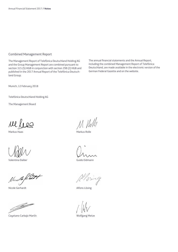#### Combined Management Report

The Management Report of Telefónica Deutschland Holding AG and the Group Management Report are combined pursuant to section 315 (5) HGB in conjunction with section 298 (2) HGB and published in the 2017 Annual Report of the Telefónica Deutschland Group.

The annual financial statements and the Annual Report, including the combined Management Report of Telefónica Deutschland, are made available in the electronic version of the German Federal Gazette and on the website.

Munich, 12 February 2018

Telefónica Deutschland Holding AG

The Management Board

rel lees

Valentina Daiber Guido Eidmann

Nu le filet

Nicole Gerhardt **Alfons Lösing** 

*James Marine* Strategy and the United States

Cayetano Carbajo Martín Wolfgang Metze

M. Will

Markus Haas Markus Rolle

 $20319$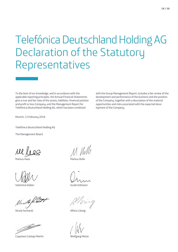## Telefónica Deutschland Holding AG<br>Declaration of the Statutory<br>Representatives Declaration of the Statutory Representatives

To the best of our knowledge, and in accordance with the applicable reporting principles, the Annual Financial Statements give a true and fair view of the assets, liabilities, financial position and profit or loss Company, and the Management Report for Telefónica Deutschland Holding AG, which has been combined

with the Group Management Report, includes a fair review of the development and performance of the business and the position of the Company, together with a description of the material opportunities and risks associated with the expected development of the Company.

Munich, 12 February 2018

Telefónica Deutschland Holding AG

The Management Board

rel lieg

Valentina Daiber Guido Eidmann

Nu Cop hot

Nicole Gerhardt **Alfons Lösing** 

Jan 2000 de jan 2000 de jan 2000 de jan 2000 de jan 2000 de jan 2000 de jan 2000 de jan 2000 de jan 2000 de jan 2000 de jan 2000 de jan 2000 de jan 2000 de jan 2000 de jan 2000 de jan 2000 de jan 2000 de jan 2000 de jan 20

Cayetano Carbajo Martín New Yolfgang Metze

M. Vill

Markus Haas Markus Rolle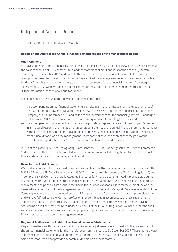### Independent Auditor's Report

To Telefónica Deutschland Holding AG, Munich

#### **Report on the Audit of the Annual Financial Statements and of the Management Report**

#### **Audit Opinions**

We have audited the annual financial statements of Telefónica Deutschland Holding AG, Munich, which comprise the balance sheet as at 31 December 2017, and the statement of profit and loss for the financial year from 1 January to 31 December 2017, and notes to the financial statements, including the recognition and measurement policies presented therein. In addition, we have audited the management report of Telefónica Deutschland Holding AG, which is combined with the group management report, for the financial year from 1 January to 31 December 2017. We have not audited the content of those parts of the management report listed in the "Other Information" section of our auditor's report.

In our opinion, on the basis of the knowledge obtained in the audit,

- the accompanying annual financial statements comply, in all material respects, with the requirements of German commercial law and give a true and fair view of the assets, liabilities and financial position of the Company as at 31 December 2017 and of its financial performance for the financial year from 1 January to 31 December 2017 in compliance with German Legally Required Accounting Principles, and
- the accompanying management report as a whole provides an appropriate view of the Company's position. In all material respects, this management report is consistent with the annual financial statements, complies with German legal requirements and appropriately presents the opportunities and risks of future development. Our audit opinion on the management report does not cover the content of those parts of the management report listed in the "Other Information" section of our auditor's report.

Pursuant to § [Article] 322 Abs. [paragraph] 3 Satz [sentence] 1 HGB [Handelsgesetzbuch: German Commercial Code, we declare that our audit has not led to any reservations relating to the legal compliance of the annual financial statements and of the management report.

#### **Basis for the Audit Opinions**

We conducted our audit of the annual financial statements and of the management report in accordance with § 317 HGB and the EU Audit Regulation (No. 537/2014, referred to subsequently as "EU Audit Regulation") and in compliance with German Generally Accepted Standards for Financial Statement Audits promulgated by the Institut der Wirtschaftsprüfer [Institute of Public Auditors in Germany] (IDW). Our responsibilities under those requirements and principles are further described in the "Auditor's Responsibilities for the Audit of the Annual Financial Statements and of the Management Report" section of our auditor's report. We are independent of the Company in accordance with the requirements of European law and German commercial and professional law, and we have fulfilled our other German professional responsibilities in accordance with these requirements. In addition, in accordance with Article 10 (2) point (f) of the EU Audit Regulation, we declare that we have not provided non-audit services prohibited under Article 5 (1) of the EU Audit Regulation. We believe that the audit evidence we have obtained is sufficient and appropriate to provide a basis for our audit opinions on the annual financial statements and on the management report.

#### **Key Audit Matters in the Audit of the Annual Financial Statements**

Key audit matters are those matters that, in our professional judgment, were of most significance in our audit of the annual financial statements for the financial year from 1 January to 31 December 2017*.* These matters were addressed in the context of our audit of the annual financial statements as a whole, and in forming our audit opinion thereon; we do not provide a separate audit opinion on these matters.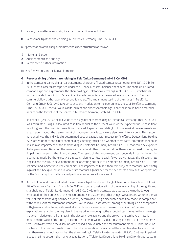In our view, the matter of most significance in our audit was as follows:

❶ Recoverability of the shareholding in Telefónica Germany GmbH & Co. OHG

Our presentation of this key audit matter has been structured as follows:

- ① Matter and issue
- ② Audit approach and findings
- ③ Reference to further information

Hereinafter we present the key audit matter:

#### ❶ **Recoverability of the shareholding in Telefónica Germany GmbH & Co. OHG**

① In the Company's annual financial statements shares in affiliated companies amounting to EUR 10.1 billion (99% of total assets) are reported under the "Financial assets" balance sheet item. The shares in affiliated companies principally comprise the shareholding in Telefónica Germany GmbH & Co. OHG, which holds further shareholdings in turn. Shares in affiliated companies are measured in accordance with German commercial law at the lower of cost and fair value. The impairment testing of the shares in Telefónica Germany GmbH & Co. OHG takes into account, in addition to the operating business of Telefónica Germany GmbH & Co. OHG, the fair values of its indirect and direct shareholdings, since these could have a material impact on the fair value of the shares in Telefónica Germany GmbH & Co. OHG.

In financial year 2017, the fair value of the significant shareholding of Telefónica Germany GmbH & Co. OHG was calculated using a discounted cash flow model as the present value of the expected future cash flows resulting from the financial projections prepared. Expectations relating to future market developments and assumptions about the development of macroeconomic factors were also taken into account. The discount rate used was the individually determined cost of capital. With respect to Telefónica Deutschland Holding AG's other indirect and direct shareholdings, testing focused on whether there were indications that could result in an impairment of the shareholding in Telefónica Germany GmbH & Co. OHG that could be expected to be permanent. Based on the value calculated and other documentation, there was no need to recognize impairment losses in the financial year. The result of the impairment test depends in particular on the estimates made by the executive directors relating to future cash flows, growth rates, the discount rate applied and the future development of the operating business of Telefónica Germany GmbH & Co. OHG and its direct and indirect investee companies. The impairment test is therefore subject to material uncertainty. Against this background and in view of its material significance for the net assets and results of operations of the Company, this matter was of particular importance for our audit.

② As part of our audit, we evaluated the recoverability of the shareholding of Telefónica Deutschland Holding AG in Telefónica Germany GmbH & Co. OHG also under consideration of the recoverability of the significant shareholding of Telefónica Germany GmbH & Co. OHG. In this context, we assessed the methodology employed for the purposes of the measurement exercise, among other things. We assessed whether the fair value of this shareholding had been properly determined using a discounted cash flow model in compliance with the relevant measurement standards. We based our assessment, among other things, on a comparison with general and sector-specific market expectations as well as on the executive directors' detailed explanations regarding the key planning value drivers underlying the expected cash flows. In the knowledge that even relatively small changes in the discount rate applied and the growth rate can have a material impact on the value of the entity calculated in this way, we focused our testing in particular on the parameters used to determine the discount rate applied, and evaluated the measurement model. Furthermore, on the basis of financial information and other documentation we evaluated the executive directors' conclusion that there were no indications that the shareholding in Telefónica Germany GmbH & Co. OHG was impaired, also taking into account the market capitalization of Telefónica Deutschland Holding AG for this purpose. In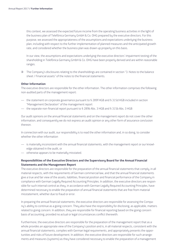this context, we assessed the expected future income from the operating business activities in the light of the business plan of Telefónica Germany GmbH & Co. OHG prepared by the executive directors. For this purpose, we assessed the appropriateness of the assumptions and expectations underlying the business plan, including with respect to the further implementation of planned measures and the anticipated growth rate, and considered whether the business plan was drawn up properly on this basis.

In our view, the assumptions and expectations underlying the executive directors' impairment testing of the shareholding in Telefónica Germany GmbH & Co. OHG have been properly derived and are within reasonable ranges.

③ The Company's disclosures relating to the shareholdings are contained in section "3. Notes to the balance sheet / Financial assets" of the notes to the financial statements.

#### **Other Information**

The executive directors are responsible for the other information. The other information comprises the following non-audited parts of the management report:

- the statement on corporate governance pursuant to § 289f HGB and § 315d HGB included in section "Management Declaration" of the management report
- the separate non-financial report pursuant to § 289b Abs. 3 HGB and § 315b Abs. 3 HGB

Our audit opinions on the annual financial statements and on the management report do not cover the other information, and consequently we do not express an audit opinion or any other form of assurance conclusion thereon.

In connection with our audit, our responsibility is to read the other information and, in so doing, to consider whether the other information

- is materially inconsistent with the annual financial statements, with the management report or our knowledge obtained in the audit, or
- otherwise appears to be materially misstated.

#### **Responsibilities of the Executive Directors and the Supervisory Board for the Annual Financial Statements and the Management Report**

The executive directors are responsible for the preparation of the annual financial statements that comply, in all material respects, with the requirements of German commercial law, and that the annual financial statements give a true and fair view of the assets, liabilities, financial position and financial performance of the Company in compliance with German Legally Required Accounting Principles. In addition, the executive directors are responsible for such internal control as they, in accordance with German Legally Required Accounting Principles, have determined necessary to enable the preparation of annual financial statements that are free from material misstatement, whether due to fraud or error.

In preparing the annual financial statements, the executive directors are responsible for assessing the Company's ability to continue as a going concern. They also have the responsibility for disclosing, as applicable, matters related to going concern. In addition, they are responsible for financial reporting based on the going concern basis of accounting, provided no actual or legal circumstances conflict therewith.

Furthermore, the executive directors are responsible for the preparation of the management report that as a whole provides an appropriate view of the Company's position and is, in all material respects, consistent with the annual financial statements, complies with German legal requirements, and appropriately presents the opportunities and risks of future development. In addition, the executive directors are responsible for such arrangements and measures (systems) as they have considered necessary to enable the preparation of a management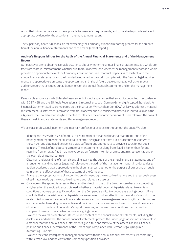**23 / 24**

report that is in accordance with the applicable German legal requirements, and to be able to provide sufficient appropriate evidence for the assertions in the management report.

The supervisory board is responsible for overseeing the Company's financial reporting process for the preparation of the annual financial statements and of the management report.]

#### **Auditor's Responsibilities for the Audit of the Annual Financial Statements and of the Management Report**

Our objectives are to obtain reasonable assurance about whether the annual financial statements as a whole are free from material misstatement, whether due to fraud or error, and whether the management report as a whole provides an appropriate view of the Company's position and, in all material respects, is consistent with the annual financial statements and the knowledge obtained in the audit, complies with the German legal requirements and appropriately presents the opportunities and risks of future development, as well as to issue an auditor's report that includes our audit opinions on the annual financial statements and on the management report.

Reasonable assurance is a high level of assurance, but is not a guarantee that an audit conducted in accordance with § 317 HGB and the EU Audit Regulation and in compliance with German Generally Accepted Standards for Financial Statement Audits promulgated by the Institut der Wirtschaftsprüfer (IDW) will always detect a material misstatement. Misstatements can arise from fraud or error and are considered material if, individually or in the aggregate, they could reasonably be expected to influence the economic decisions of users taken on the basis of these annual financial statements and this management report.

We exercise professional judgment and maintain professional scepticism throughout the audit. We also:

- Identify and assess the risks of material misstatement of the annual financial statements and of the management report, whether due to fraud or error, design and perform audit procedures responsive to those risks, and obtain audit evidence that is sufficient and appropriate to provide a basis for our audit opinions. The risk of not detecting a material misstatement resulting from fraud is higher than for one resulting from error, as fraud may involve collusion, forgery, intentional omissions, misrepresentations, or the override of internal controls.
- Obtain an understanding of internal control relevant to the audit of the annual financial statements and of arrangements and measures (systems) relevant to the audit of the management report in order to design audit procedures that are appropriate in the circumstances, but not for the purpose of expressing an audit opinion on the effectiveness of these systems of the Company.
- Evaluate the appropriateness of accounting policies used by the executive directors and the reasonableness of estimates made by the executive directors and related disclosures.
- Conclude on the appropriateness of the executive directors' use of the going concern basis of accounting and, based on the audit evidence obtained, whether a material uncertainty exists related to events or conditions that may cast significant doubt on the Company's ability to continue as a going concern. If we conclude that a material uncertainty exists, we are required to draw attention in the auditor's report to the related disclosures in the annual financial statements and in the management report or, if such disclosures are inadequate, to modifu our respective audit opinions. Our conclusions are based on the audit evidence obtained up to the date of our auditor's report. However, future events or conditions may cause the Company to cease to be able to continue as a going concern.
- Evaluate the overall presentation, structure and content of the annual financial statements, including the disclosures, and whether the annual financial statements present the underluing transactions and events in a manner that the annual financial statements give a true and fair view of the assets, liabilities, financial position and financial performance of the Company in compliance with German Legally Required Accounting Principles.
- Evaluate the consistency of the management report with the annual financial statements, its conformity with German law, and the view of the Company's position it provides.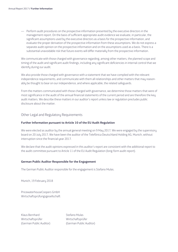— Perform audit procedures on the prospective information presented by the executive directors in the management report. On the basis of sufficient appropriate audit evidence we evaluate, in particular, the significant assumptions used by the executive directors as a basis for the prospective information, and evaluate the proper derivation of the prospective information from these assumptions. We do not express a separate audit opinion on the prospective information and on the assumptions used as a basis. There is a substantial unavoidable risk that future events will differ materially from the prospective information.

We communicate with those charged with governance regarding, among other matters, the planned scope and timing of the audit and significant audit findings, including any significant deficiencies in internal control that we identify during our audit.

We also provide those charged with governance with a statement that we have complied with the relevant independence requirements, and communicate with them all relationships and other matters that may reasonably be thought to bear on our independence, and where applicable, the related safeguards.

From the matters communicated with those charged with governance, we determine those matters that were of most significance in the audit of the annual financial statements of the current period and are therefore the key audit matters. We describe these matters in our auditor's report unless law or regulation precludes public disclosure about the matter.

#### Other Legal and Regulatory Requirements

#### **Further Information pursuant to Article 10 of the EU Audit Regulation**

We were elected as auditor by the annual general meeting on 9 May 2017*.* We were engaged by the supervisory board on 20 July 2017*.* We have been the auditor of the Telefónica Deutschland Holding AG, Munich, without interruption since the financial year 2017.

We declare that the audit opinions expressed in this auditor's report are consistent with the additional report to the audit committee pursuant to Article 11 of the EU Audit Regulation (long-form audit report).

#### **German Public Auditor Responsible for the Engagement**

The German Public Auditor responsible for the engagement is Stefano Mulas.

Munich, 19 February 2018

PricewaterhouseCoopers GmbH Wirtschaftsprüfungsgesellschaft

Klaus Bernhard Stefano Mulas Wirtschaftsprüfer Wirtschaftsprüfer

(German Public Auditor) (German Public Auditor)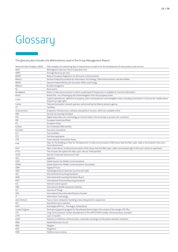# Gloss<br>The glossary also incl Glossary

#### The glossary also includes the abbreviations used in the Group Management Report.

| Advanced Data Analytics (ADA) | Data analytics for optimising day-to-day business as well as for the development of new products and services                                                       |
|-------------------------------|---------------------------------------------------------------------------------------------------------------------------------------------------------------------|
|                               |                                                                                                                                                                     |
| AktG                          | Aktiengesetz (German Stock Corporation Act)                                                                                                                         |
| <b>ARPU</b>                   | Average Revenue per User                                                                                                                                            |
| <b>BEREC</b>                  | Body of European Regulators for Electronic Communication                                                                                                            |
| <b>Bitkom</b>                 | German Federal Association for Information Technology, Telecommunications and New Media                                                                             |
| <b>BMWi</b>                   | German Federal Ministry for Economic Affairs and Energy                                                                                                             |
| <b>BNetzA</b>                 | Bundesnetzagentur                                                                                                                                                   |
| bp                            | <b>Basis points</b>                                                                                                                                                 |
| Broadband                     | Refers to telecommunication in which a wide band of frequencies is available to transmit information                                                                |
| <b>Brexit</b>                 | British Exit-act of leaving by the United Kingdom from the European Union                                                                                           |
| CapEx                         | Capital expenditures: additions to property, plant and equipment and intangible assets excluding investments in licences for mobile phone<br>frequency usage rights |
| Carrier                       | Telecommunication network operator authorized by the federal network agency                                                                                         |
| CF                            | Cashflow                                                                                                                                                            |
| cloud services                | A dynamic infrastructure, software and platform services, which are available online                                                                                |
| <b>DRS</b>                    | <b>German Accounting Standard</b>                                                                                                                                   |
| DSL                           | Digital Subscriber Line: technology to transmit data in the local loop to private end-customers                                                                     |
| EIB                           | European Investment Bank                                                                                                                                            |
| EU                            | European Union                                                                                                                                                      |
| Euribor                       | Euro Interbank Offered Rate                                                                                                                                         |
| ExComm                        | <b>Executive Committee</b>                                                                                                                                          |
| FCF                           | <b>Free Cashflow</b>                                                                                                                                                |
| <b>FTE</b>                    | Full-time equivalent                                                                                                                                                |
| FTR                           | <b>Fixed network Termination Rates</b>                                                                                                                              |
| FttB                          | Fiber To The Building or Fiber To The Basement. In telecommunications FttB means that the fiber-optic cable is terminated in the user's<br>house (basement).        |
| FttH                          | Fiber to the Home. In telecommunications FttH means that the fiber-optic cable is terminated right in the user's home or apartment.                                 |
| <b>FTTX</b>                   | This includes the options for fiber-optic roll-out: FttB and FttH.                                                                                                  |
| GCGC                          | German Corporate Governance Code                                                                                                                                    |
| GHz                           | Gigahertz                                                                                                                                                           |
| <b>GSM</b>                    | Global System for Mobile Communications                                                                                                                             |
| <b>GSMA</b>                   | Global System for Mobile Communications Association                                                                                                                 |
| GWh                           | Gigawatt hours                                                                                                                                                      |
| HGB                           | Handelsgesetzbuch (German Commercial Code)                                                                                                                          |
| IAS                           | International Accounting Standards                                                                                                                                  |
| <b>IASB</b>                   | International Accounting Standards Board                                                                                                                            |
| <b>IFRS</b>                   | International Financial Reporting Standards                                                                                                                         |
| ICS                           | Internal control system                                                                                                                                             |
| IMEI                          | International Mobile Equipment Identity                                                                                                                             |
| IoT                           | Internet of Things                                                                                                                                                  |
| <b>ISIN</b>                   | International Securities Identification Number                                                                                                                      |
| IT                            | Information Technology                                                                                                                                              |
| Joint Venture                 | Two or more companies founding a new enterprise for cooperation                                                                                                     |
| <b>KPI</b>                    | Key Performance Indicator                                                                                                                                           |
| <b>KPN</b>                    | Koninklijke KPN N.V., The Hague, Netherlands                                                                                                                        |
| Leaver Program                | Severance payment program for the planned downsizing in the context of the merger of E-Plus                                                                         |
| LTE                           | Long Term Evolution: further development of the UMTS/HSPA mobile communications standard                                                                            |
| <b>LTM</b>                    | Last 12 months                                                                                                                                                      |
| M2M                           | Machine-to-Machine communication, automatic exchange of information between machines                                                                                |
| <b>MBA</b>                    | Mobile Bitstream Access                                                                                                                                             |
| Mbit                          | Megabit                                                                                                                                                             |
|                               |                                                                                                                                                                     |
| MHz                           | Megahertz                                                                                                                                                           |
| <b>MSR</b>                    | Mobile service revenue                                                                                                                                              |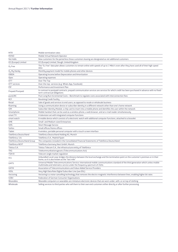| <b>MTR</b>                   | Mobile termination rates                                                                                                                                                                                         |
|------------------------------|------------------------------------------------------------------------------------------------------------------------------------------------------------------------------------------------------------------|
| <b>MVNO</b>                  | Mobile Virtual Network Operator                                                                                                                                                                                  |
| Net Adds                     | New customers for the period less those customers leaving are designated as net additional customers                                                                                                             |
| 02 (Europe) Limited          | 02 (Europe) Limited, Slough, United Kingdom                                                                                                                                                                      |
| $O2$ Free                    | The "O <sub>2</sub> Free" data plan allows customers to remain online with speeds of up to 1 Mbit/s even after they have used all of their high-speed<br>data                                                    |
| O <sub>2</sub> My Handy      | Monthly payment model for mobile phones and other devices                                                                                                                                                        |
| <b>OIBDA</b>                 | Operating Income before Depreciation and Amortization                                                                                                                                                            |
| Opex                         | Operating expenses                                                                                                                                                                                               |
| <b>OTT</b>                   | Over The Top                                                                                                                                                                                                     |
| OTT services                 | Over-the-top- services (e.g. Whats App, Facebook)                                                                                                                                                                |
| <b>PIP</b>                   | Performance and Investment Plan                                                                                                                                                                                  |
| Prepaid/Postpaid             | In contrast to postpaid contracts, prepaid communication services are services for which credit has been purchased in advance with no fixed-<br>term contractual obligations                                     |
| pureLRIC                     | Pure Long Run Incremental Costs - Benchmark to regulate costs associated with interconnection fees                                                                                                               |
| RCF                          | Revolving Credit Facility                                                                                                                                                                                        |
| Retail                       | Sale of goods and services to end users; as opposed to resale or wholesale business                                                                                                                              |
| Roaming                      | Using a communication device or subscriber identity in a different network other than one's home network                                                                                                         |
| <b>SIM</b>                   | Subscriber Identity Module: a chip card to insert into a mobile phone and identifies the user within the network                                                                                                 |
| Smartphone                   | Mobile handset that can be used as a wireless phone, a web browser, and an e-mail reader simultaneously                                                                                                          |
| smart TV                     | A television set with integrated computer functions                                                                                                                                                              |
| smart watch                  | A mobile device which consists of a electronic watch with additional computer functions, attached to a bracelet                                                                                                  |
| <b>SME</b>                   | Small- and Medium-sized Enterprises                                                                                                                                                                              |
| <b>SMS</b>                   | <b>Short Message Service</b>                                                                                                                                                                                     |
| SoHos                        | Small offices/Home offices                                                                                                                                                                                       |
| Tablet                       | A wireless, portable personal computer with a touch screen interface                                                                                                                                             |
| Telefónica Deutschland       | Telefónica Deutschland Holding AG, Munich                                                                                                                                                                        |
| Telefónica, S.A.             | Telefónica S.A., Madrid/Spain                                                                                                                                                                                    |
| Telefónica Deutschland Group | The companies included in the Consolidated Financial Statements of Telefónica Deutschland                                                                                                                        |
| Telefónica NEXT              | Telefónica Germany Next GmbH, Munich                                                                                                                                                                             |
| Telxius S.A.                 | Telxius Telecom S.A., the infrastructure entity of Telefónica                                                                                                                                                    |
| <b>TKG</b>                   | Telekommunikationsgesetz (Telecommunications Act)                                                                                                                                                                |
| TSM-R                        | Telecom single market regulation                                                                                                                                                                                 |
| ULL                          | Unbundled Local Loop: bridges the distance between the local exchange and the termination point on the customer's premises or in their<br>home, so it is also known as the "last mile"                           |
| <b>UMTS</b>                  | Universal Mobile Telecommunications Service: international mobile communications standard of the third generation which unites mobile<br>multimedia and telematics service under the frequency spectrum of 2GHz. |
| <b>VATM</b>                  | Association of Telecommunications and Value-Added Service Providers                                                                                                                                              |
| <b>VDSL</b>                  | Very High Data Rate Digital Subscriber Line (see DSL)                                                                                                                                                            |
| Vectoring                    | Vectoring is a noise-cancelling technology that removes the electro-magnetic interference between lines, enabling higher bit rates                                                                               |
| <b>VZBV</b>                  | Federation of German Consumer Organisations                                                                                                                                                                      |
| Wearables                    | Wearable computers or wearables are miniature electronic devices that are worn under, with, or on top of clothing                                                                                                |
| Wholesale                    | Selling services to third parties who sell them to their own end customers either directly or after further processing                                                                                           |